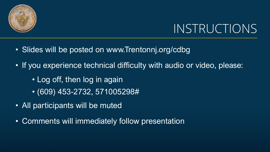

# INSTRUCTIONS

- Slides will be posted on www.Trentonnj.org/cdbg
- If you experience technical difficulty with audio or video, please:
	- Log off, then log in again
	- (609) 453-2732, 571005298#
- All participants will be muted
- Comments will immediately follow presentation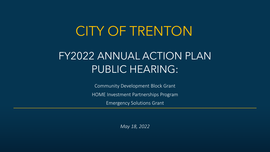# CITY OF TRENTON

# FY2022 ANNUAL ACTION PLAN PUBLIC HEARING:

Community Development Block Grant HOME Investment Partnerships Program Emergency Solutions Grant

*May 18, 2022*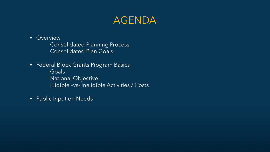## AGENDA

**Overview** 

Consolidated Planning Process Consolidated Plan Goals

- **Federal Block Grants Program Basics** Goals National Objective Eligible –vs- Ineligible Activities / Costs
- **Public Input on Needs**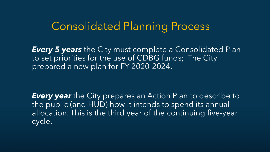# Consolidated Planning Process

*Every 5 years* the City must complete a Consolidated Plan to set priorities for the use of CDBG funds; The City prepared a new plan for FY 2020-2024.

*Every year* the City prepares an Action Plan to describe to the public (and HUD) how it intends to spend its annual allocation. This is the third year of the continuing five-year cycle.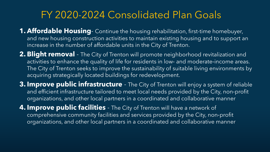# FY 2020-2024 Consolidated Plan Goals

- **1. Affordable Housing** Continue the housing rehabilitation, first-time homebuyer, and new housing construction activities to maintain existing housing and to support an increase in the number of affordable units in the City of Trenton.
- **2. Blight removal**  The City of Trenton will promote neighborhood revitalization and activities to enhance the quality of life for residents in low‐ and moderate‐income areas. The City of Trenton seeks to improve the sustainability of suitable living environments by acquiring strategically located buildings for redevelopment.
- **3. Improve public infrastructure**  The City of Trenton will enjoy a system of reliable and efficient infrastructure tailored to meet local needs provided by the City, non‐profit organizations, and other local partners in a coordinated and collaborative manner
- **4. Improve public facilities**  The City of Trenton will have a network of comprehensive community facilities and services provided by the City, non‐profit organizations, and other local partners in a coordinated and collaborative manner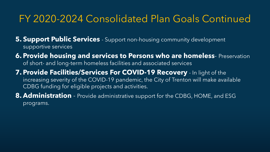# FY 2020-2024 Consolidated Plan Goals Continued

**5. Support Public Services** - Support non-housing community development supportive services

- **6. Provide housing and services to Persons who are homeless** Preservation of short- and long-term homeless facilities and associated services
- **7. Provide Facilities/Services For COVID-19 Recovery**  In light of the increasing severity of the COVID-19 pandemic, the City of Trenton will make available CDBG funding for eligible projects and activities.
- **8. Administration** Provide administrative support for the CDBG, HOME, and ESG programs.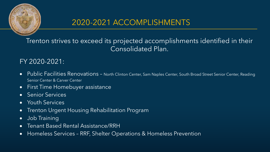

### 2020-2021 ACCOMPLISHMENTS

Trenton strives to exceed its projected accomplishments identified in their Consolidated Plan.

#### FY 2020-2021:

- Public Facilities Renovations North Clinton Center, Sam Naples Center, South Broad Street Senior Center, Reading Senior Center & Carver Center
- First Time Homebuyer assistance
- Senior Services
- Youth Services
- Trenton Urgent Housing Rehabilitation Program
- Job Training
- Tenant Based Rental Assistance/RRH
- Homeless Services RRF, Shelter Operations & Homeless Prevention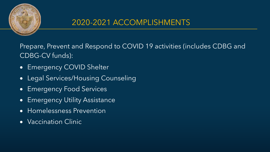

### 2020-2021 ACCOMPLISHMENTS

Prepare, Prevent and Respond to COVID 19 activities (includes CDBG and CDBG-CV funds):

- Emergency COVID Shelter
- Legal Services/Housing Counseling
- Emergency Food Services
- Emergency Utility Assistance
- Homelessness Prevention
- Vaccination Clinic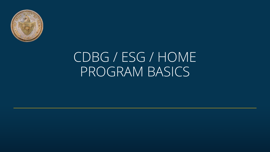

# CDBG / ESG / HOME PROGRAM BASICS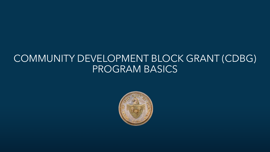### COMMUNITY DEVELOPMENT BLOCK GRANT (CDBG) PROGRAM BASICS

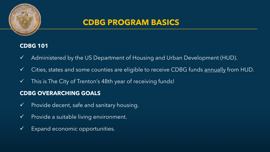

#### **CDBG 101**

- $\checkmark$  Administered by the US Department of Housing and Urban Development (HUD).
- $\checkmark$  Cities, states and some counties are eligible to receive CDBG funds <u>annually</u> from HUD.
- $\checkmark$  This is The City of Trenton's 48th year of receiving funds!

#### **CDBG OVERARCHING GOALS**

- $\checkmark$  Provide decent, safe and sanitary housing.
- $\checkmark$  Provide a suitable living environment.
- $\checkmark$  Expand economic opportunities.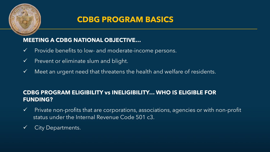

#### **MEETING A CDBG NATIONAL OBJECTIVE…**

- $\checkmark$  Provide benefits to low- and moderate-income persons.
- $\checkmark$  Prevent or eliminate slum and blight.
- $\checkmark$  Meet an urgent need that threatens the health and welfare of residents.

#### **CDBG PROGRAM ELIGIBILITY vs INELIGIBILITY… WHO IS ELIGIBLE FOR FUNDING?**

- $\checkmark$  Private non-profits that are corporations, associations, agencies or with non-profit status under the Internal Revenue Code 501 c3.
- $\checkmark$  City Departments.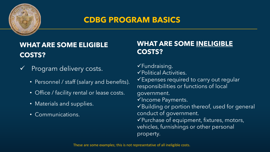

### **WHAT ARE SOME ELIGIBLE COSTS?**

- $\checkmark$  Program delivery costs.
	- Personnel / staff (salary and benefits).
	- Office / facility rental or lease costs.
	- Materials and supplies.
	- Communications.

#### **WHAT ARE SOME INELIGIBLE COSTS?**

 $\checkmark$ Fundraising. Political Activities. Expenses required to carry out regular responsibilities or functions of local government.  $\checkmark$  Income Payments. Building or portion thereof, used for general conduct of government.  $\checkmark$  Purchase of equipment, fixtures, motors, vehicles, furnishings or other personal property.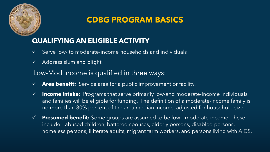

### **QUALIFYING AN ELIGIBLE ACTIVITY**

- Serve low- to moderate-income households and individuals
- Address slum and blight

#### Low-Mod Income is qualified in three ways:

- **Area benefit:** Service area for a public improvement or facility.
- **Income intake**: Programs that serve primarily low-and moderate-income individuals and families will be eligible for funding. The definition of a moderate-income family is no more than 80% percent of the area median income, adjusted for household size.
- **Presumed benefit:** Some groups are assumed to be low moderate income. These include – abused children, battered spouses, elderly persons, disabled persons, homeless persons, illiterate adults, migrant farm workers, and persons living with AIDS.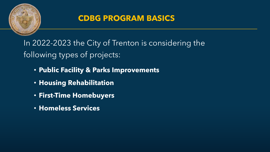

In 2022-2023 the City of Trenton is considering the following types of projects:

- **Public Facility & Parks Improvements**
- **Housing Rehabilitation**
- **First-Time Homebuyers**
- **Homeless Services**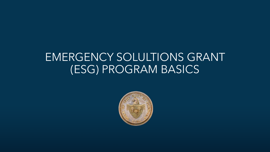# EMERGENCY SOLULTIONS GRANT (ESG) PROGRAM BASICS

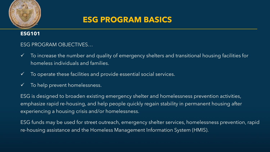

### **ESG PROGRAM BASICS**

#### **ESG101**

#### ESG PROGRAM OBJECTIVES…

- $\checkmark$  To increase the number and quality of emergency shelters and transitional housing facilities for homeless individuals and families.
- $\checkmark$  To operate these facilities and provide essential social services.
- $\checkmark$  To help prevent homelessness.

ESG is designed to broaden existing emergency shelter and homelessness prevention activities, emphasize rapid re-housing, and help people quickly regain stability in permanent housing after experiencing a housing crisis and/or homelessness.

ESG funds may be used for street outreach, emergency shelter services, homelessness prevention, rapid re-housing assistance and the Homeless Management Information System (HMIS).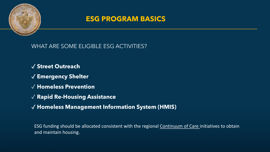

#### **ESG PROGRAM BASICS**

WHAT ARE SOME ELIGIBLE ESG ACTIVITIES?

- ✓ **Street Outreach**
- ✓ **Emergency Shelter**
- ✓ **Homeless Prevention**
- ✓ **Rapid Re-Housing Assistance**
- ✓ **Homeless Management Information System (HMIS)**

ESG funding should be allocated consistent with the regional Continuum of Care initiatives to obtain and maintain housing.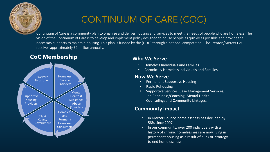

### CONTINUUM OF CARE (COC)

Continuum of Care is a community plan to organize and deliver housing and services to meet the needs of people who are homeless. The vision of the Continuum of Care is to develop and implement policy designed to house people as quickly as possible and provide the necessary supports to maintain housing. This plan is funded by the (HUD) through a national competition. The Trenton/Mercer CoC receives approximately \$2 million annually.

#### **CoC** Membership **Who We Serve**



- Homeless Individuals and Families
- Chronically Homeless Individuals and Families

#### **How We Serve**

- Permanent Supportive Housing
- Rapid Rehousing
- Supportive Services: Case Management Services; Job Readiness/Coaching; Mental Health Counseling; and Community Linkages.

#### **Community Impact**

- In Mercer County, homelessness has declined by 58% since 2007.
- In our community, over 200 individuals with a history of chronic homelessness are now living in permanent housing as a result of our CoC strategy to end homelessness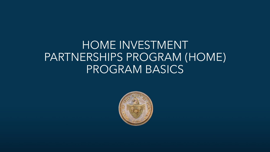# HOME INVESTMENT PARTNERSHIPS PROGRAM (HOME) PROGRAM BASICS

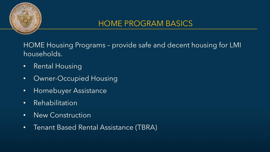

HOME Housing Programs – provide safe and decent housing for LMI households.

- Rental Housing
- Owner-Occupied Housing
- Homebuyer Assistance
- Rehabilitation
- New Construction
- Tenant Based Rental Assistance (TBRA)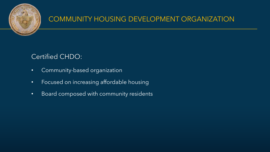

#### COMMUNITY HOUSING DEVELOPMENT ORGANIZATION

#### Certified CHDO:

- Community-based organization
- Focused on increasing affordable housing
- Board composed with community residents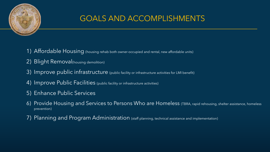

### GOALS AND ACCOMPLISHMENTS

- 1) Affordable Housing (housing rehab both owner-occupied and rental, new affordable units)
- 2) Blight Removal(housing demolition)
- 3) Improve public infrastructure (public facility or infrastructure activities for LMI benefit)
- 4) Improve Public Facilities (public facility or infrastructure activities)
- 5) Enhance Public Services
- 6) Provide Housing and Services to Persons Who are Homeless (TBRA, rapid rehousing, shelter assistance, homeless prevention)
- 7) Planning and Program Administration (staff planning, technical assistance and implementation)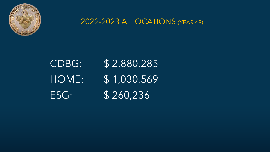

2022-2023 ALLOCATIONS (YEAR 48)

CDBG: \$ 2,880,285 HOME: \$ 1,030,569 ESG: \$ 260,236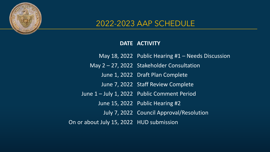

#### 2022-2023 AAP SCHEDULE

#### **DATE ACTIVITY**

May 18, 2022 Public Hearing #1 – Needs Discussion May 2 – 27, 2022 Stakeholder Consultation June 1, 2022 Draft Plan Complete June 7, 2022 Staff Review Complete June 1 – July 1, 2022 Public Comment Period June 15, 2022 Public Hearing #2 July 7, 2022 Council Approval/Resolution On or about July 15, 2022 HUD submission